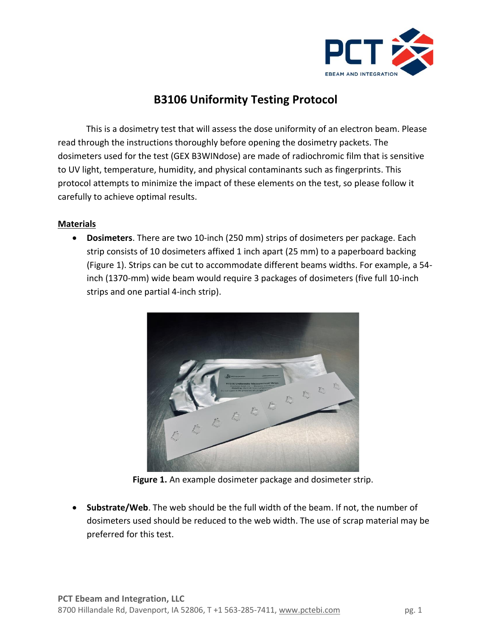

## **B3106 Uniformity Testing Protocol**

This is a dosimetry test that will assess the dose uniformity of an electron beam. Please read through the instructions thoroughly before opening the dosimetry packets. The dosimeters used for the test (GEX B3WINdose) are made of radiochromic film that is sensitive to UV light, temperature, humidity, and physical contaminants such as fingerprints. This protocol attempts to minimize the impact of these elements on the test, so please follow it carefully to achieve optimal results.

## **Materials**

• **Dosimeters**. There are two 10-inch (250 mm) strips of dosimeters per package. Each strip consists of 10 dosimeters affixed 1 inch apart (25 mm) to a paperboard backing (Figure 1). Strips can be cut to accommodate different beams widths. For example, a 54 inch (1370-mm) wide beam would require 3 packages of dosimeters (five full 10-inch strips and one partial 4-inch strip).



**Figure 1.** An example dosimeter package and dosimeter strip.

• **Substrate/Web**. The web should be the full width of the beam. If not, the number of dosimeters used should be reduced to the web width. The use of scrap material may be preferred for this test.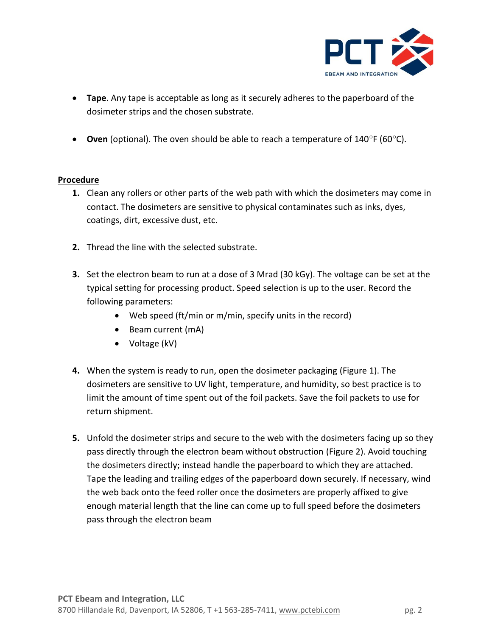

- **Tape**. Any tape is acceptable as long as it securely adheres to the paperboard of the dosimeter strips and the chosen substrate.
- **Oven** (optional). The oven should be able to reach a temperature of 140°F (60°C).

## **Procedure**

- **1.** Clean any rollers or other parts of the web path with which the dosimeters may come in contact. The dosimeters are sensitive to physical contaminates such as inks, dyes, coatings, dirt, excessive dust, etc.
- **2.** Thread the line with the selected substrate.
- **3.** Set the electron beam to run at a dose of 3 Mrad (30 kGy). The voltage can be set at the typical setting for processing product. Speed selection is up to the user. Record the following parameters:
	- Web speed (ft/min or m/min, specify units in the record)
	- Beam current (mA)
	- Voltage (kV)
- **4.** When the system is ready to run, open the dosimeter packaging (Figure 1). The dosimeters are sensitive to UV light, temperature, and humidity, so best practice is to limit the amount of time spent out of the foil packets. Save the foil packets to use for return shipment.
- **5.** Unfold the dosimeter strips and secure to the web with the dosimeters facing up so they pass directly through the electron beam without obstruction (Figure 2). Avoid touching the dosimeters directly; instead handle the paperboard to which they are attached. Tape the leading and trailing edges of the paperboard down securely. If necessary, wind the web back onto the feed roller once the dosimeters are properly affixed to give enough material length that the line can come up to full speed before the dosimeters pass through the electron beam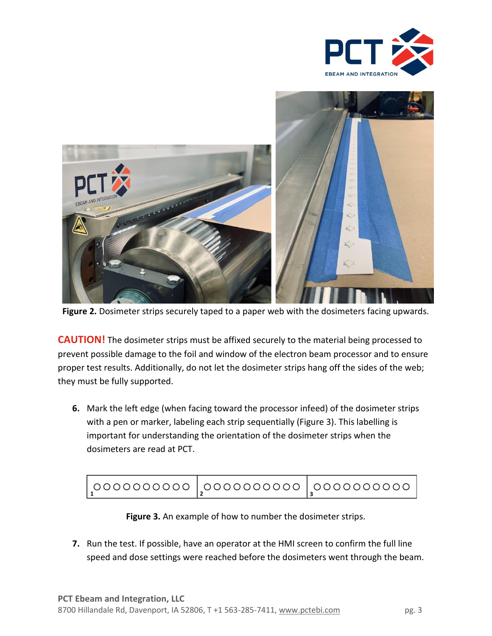



**Figure 2.** Dosimeter strips securely taped to a paper web with the dosimeters facing upwards.

**CAUTION!** The dosimeter strips must be affixed securely to the material being processed to prevent possible damage to the foil and window of the electron beam processor and to ensure proper test results. Additionally, do not let the dosimeter strips hang off the sides of the web; they must be fully supported.

**6.** Mark the left edge (when facing toward the processor infeed) of the dosimeter strips with a pen or marker, labeling each strip sequentially (Figure 3). This labelling is important for understanding the orientation of the dosimeter strips when the dosimeters are read at PCT.

| $\mid$ 0000000000 $\mid$ 0000000000 $\mid$ 000000000 $\mid$ |  |  |
|-------------------------------------------------------------|--|--|
|-------------------------------------------------------------|--|--|

**Figure 3.** An example of how to number the dosimeter strips.

**7.** Run the test. If possible, have an operator at the HMI screen to confirm the full line speed and dose settings were reached before the dosimeters went through the beam.